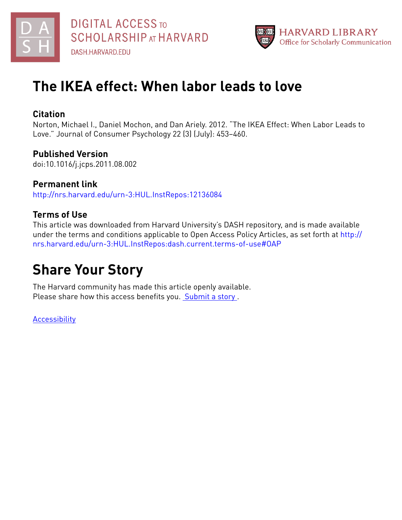



# **The IKEA effect: When labor leads to love**

## **Citation**

Norton, Michael I., Daniel Mochon, and Dan Ariely. 2012. "The IKEA Effect: When Labor Leads to Love." Journal of Consumer Psychology 22 (3) (July): 453–460.

## **Published Version**

doi:10.1016/j.jcps.2011.08.002

**Permanent link** <http://nrs.harvard.edu/urn-3:HUL.InstRepos:12136084>

# **Terms of Use**

This article was downloaded from Harvard University's DASH repository, and is made available under the terms and conditions applicable to Open Access Policy Articles, as set forth at [http://](http://nrs.harvard.edu/urn-3:HUL.InstRepos:dash.current.terms-of-use#OAP) [nrs.harvard.edu/urn-3:HUL.InstRepos:dash.current.terms-of-use#OAP](http://nrs.harvard.edu/urn-3:HUL.InstRepos:dash.current.terms-of-use#OAP)

# **Share Your Story**

The Harvard community has made this article openly available. Please share how this access benefits you. [Submit](http://osc.hul.harvard.edu/dash/open-access-feedback?handle=&title=The%20IKEA%20effect:%20When%20labor%20leads%20to%20love&community=1/3345929&collection=1/3345930&owningCollection1/3345930&harvardAuthors=2635fcd0da4fc6fcd0d26d4926b35da3&department) a story.

**[Accessibility](https://dash.harvard.edu/pages/accessibility)**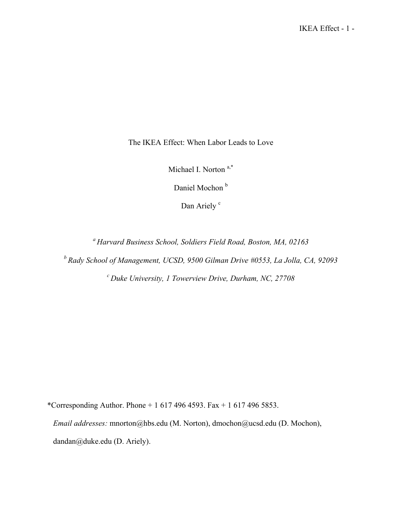The IKEA Effect: When Labor Leads to Love

Michael I. Norton a,\*

Daniel Mochon<sup>b</sup>

Dan Ariely<sup>c</sup>

*a Harvard Business School, Soldiers Field Road, Boston, MA, 02163*

*b Rady School of Management, UCSD, 9500 Gilman Drive #0553, La Jolla, CA, 92093*

*c Duke University, 1 Towerview Drive, Durham, NC, 27708*

\*Corresponding Author. Phone + 1 617 496 4593. Fax + 1 617 496 5853.

*Email addresses:* mnorton@hbs.edu (M. Norton), dmochon@ucsd.edu (D. Mochon),

dandan@duke.edu (D. Ariely).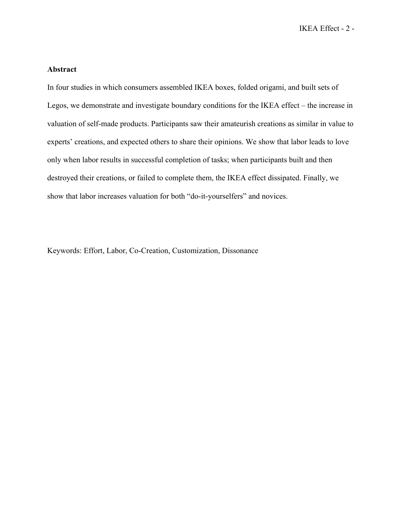IKEA Effect - 2 -

#### **Abstract**

In four studies in which consumers assembled IKEA boxes, folded origami, and built sets of Legos, we demonstrate and investigate boundary conditions for the IKEA effect – the increase in valuation of self-made products. Participants saw their amateurish creations as similar in value to experts' creations, and expected others to share their opinions. We show that labor leads to love only when labor results in successful completion of tasks; when participants built and then destroyed their creations, or failed to complete them, the IKEA effect dissipated. Finally, we show that labor increases valuation for both "do-it-yourselfers" and novices.

Keywords: Effort, Labor, Co-Creation, Customization, Dissonance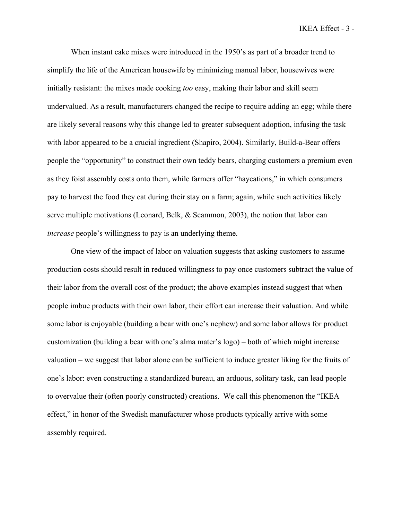IKEA Effect - 3 -

When instant cake mixes were introduced in the 1950's as part of a broader trend to simplify the life of the American housewife by minimizing manual labor, housewives were initially resistant: the mixes made cooking *too* easy, making their labor and skill seem undervalued. As a result, manufacturers changed the recipe to require adding an egg; while there are likely several reasons why this change led to greater subsequent adoption, infusing the task with labor appeared to be a crucial ingredient (Shapiro, 2004). Similarly, Build-a-Bear offers people the "opportunity" to construct their own teddy bears, charging customers a premium even as they foist assembly costs onto them, while farmers offer "haycations," in which consumers pay to harvest the food they eat during their stay on a farm; again, while such activities likely serve multiple motivations (Leonard, Belk, & Scammon, 2003), the notion that labor can *increase* people's willingness to pay is an underlying theme.

One view of the impact of labor on valuation suggests that asking customers to assume production costs should result in reduced willingness to pay once customers subtract the value of their labor from the overall cost of the product; the above examples instead suggest that when people imbue products with their own labor, their effort can increase their valuation. And while some labor is enjoyable (building a bear with one's nephew) and some labor allows for product customization (building a bear with one's alma mater's logo) – both of which might increase valuation – we suggest that labor alone can be sufficient to induce greater liking for the fruits of one's labor: even constructing a standardized bureau, an arduous, solitary task, can lead people to overvalue their (often poorly constructed) creations. We call this phenomenon the "IKEA effect," in honor of the Swedish manufacturer whose products typically arrive with some assembly required.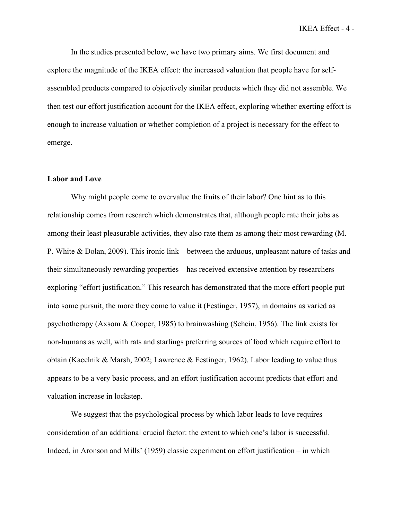IKEA Effect - 4 -

In the studies presented below, we have two primary aims. We first document and explore the magnitude of the IKEA effect: the increased valuation that people have for selfassembled products compared to objectively similar products which they did not assemble. We then test our effort justification account for the IKEA effect, exploring whether exerting effort is enough to increase valuation or whether completion of a project is necessary for the effect to emerge.

#### **Labor and Love**

Why might people come to overvalue the fruits of their labor? One hint as to this relationship comes from research which demonstrates that, although people rate their jobs as among their least pleasurable activities, they also rate them as among their most rewarding (M. P. White & Dolan, 2009). This ironic link – between the arduous, unpleasant nature of tasks and their simultaneously rewarding properties – has received extensive attention by researchers exploring "effort justification." This research has demonstrated that the more effort people put into some pursuit, the more they come to value it (Festinger, 1957), in domains as varied as psychotherapy (Axsom & Cooper, 1985) to brainwashing (Schein, 1956). The link exists for non-humans as well, with rats and starlings preferring sources of food which require effort to obtain (Kacelnik & Marsh, 2002; Lawrence & Festinger, 1962). Labor leading to value thus appears to be a very basic process, and an effort justification account predicts that effort and valuation increase in lockstep.

We suggest that the psychological process by which labor leads to love requires consideration of an additional crucial factor: the extent to which one's labor is successful. Indeed, in Aronson and Mills' (1959) classic experiment on effort justification – in which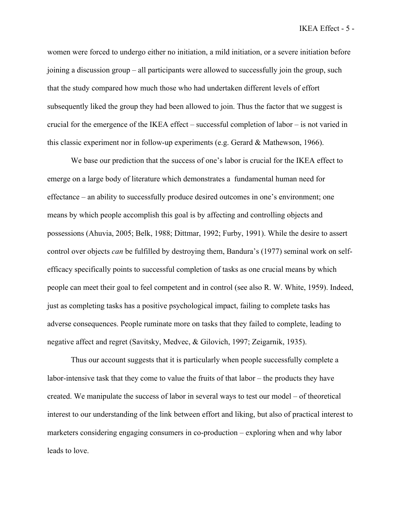women were forced to undergo either no initiation, a mild initiation, or a severe initiation before joining a discussion group – all participants were allowed to successfully join the group, such that the study compared how much those who had undertaken different levels of effort subsequently liked the group they had been allowed to join. Thus the factor that we suggest is crucial for the emergence of the IKEA effect – successful completion of labor – is not varied in this classic experiment nor in follow-up experiments (e.g. Gerard & Mathewson, 1966).

We base our prediction that the success of one's labor is crucial for the IKEA effect to emerge on a large body of literature which demonstrates a fundamental human need for effectance – an ability to successfully produce desired outcomes in one's environment; one means by which people accomplish this goal is by affecting and controlling objects and possessions (Ahuvia, 2005; Belk, 1988; Dittmar, 1992; Furby, 1991). While the desire to assert control over objects *can* be fulfilled by destroying them, Bandura's (1977) seminal work on selfefficacy specifically points to successful completion of tasks as one crucial means by which people can meet their goal to feel competent and in control (see also R. W. White, 1959). Indeed, just as completing tasks has a positive psychological impact, failing to complete tasks has adverse consequences. People ruminate more on tasks that they failed to complete, leading to negative affect and regret (Savitsky, Medvec, & Gilovich, 1997; Zeigarnik, 1935).

Thus our account suggests that it is particularly when people successfully complete a labor-intensive task that they come to value the fruits of that labor – the products they have created. We manipulate the success of labor in several ways to test our model – of theoretical interest to our understanding of the link between effort and liking, but also of practical interest to marketers considering engaging consumers in co-production – exploring when and why labor leads to love.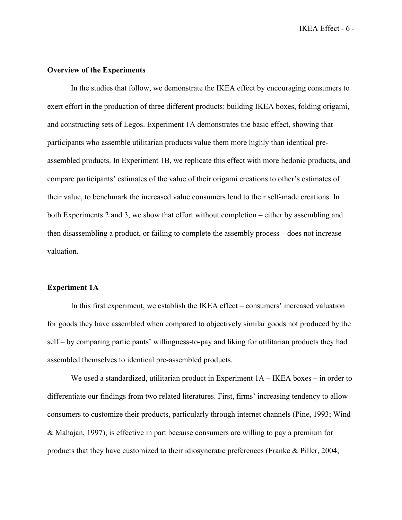IKEA Effect - 6 -

#### **Overview of the Experiments**

In the studies that follow, we demonstrate the IKEA effect by encouraging consumers to exert effort in the production of three different products: building IKEA boxes, folding origami, and constructing sets of Legos. Experiment 1A demonstrates the basic effect, showing that participants who assemble utilitarian products value them more highly than identical preassembled products. In Experiment 1B, we replicate this effect with more hedonic products, and compare participants' estimates of the value of their origami creations to other's estimates of their value, to benchmark the increased value consumers lend to their self-made creations. In both Experiments 2 and 3, we show that effort without completion – either by assembling and then disassembling a product, or failing to complete the assembly process – does not increase valuation.

#### **Experiment 1A**

In this first experiment, we establish the IKEA effect – consumers' increased valuation for goods they have assembled when compared to objectively similar goods not produced by the self – by comparing participants' willingness-to-pay and liking for utilitarian products they had assembled themselves to identical pre-assembled products.

We used a standardized, utilitarian product in Experiment  $1A - IKEA$  boxes – in order to differentiate our findings from two related literatures. First, firms' increasing tendency to allow consumers to customize their products, particularly through internet channels (Pine, 1993; Wind & Mahajan, 1997), is effective in part because consumers are willing to pay a premium for products that they have customized to their idiosyncratic preferences (Franke & Piller, 2004;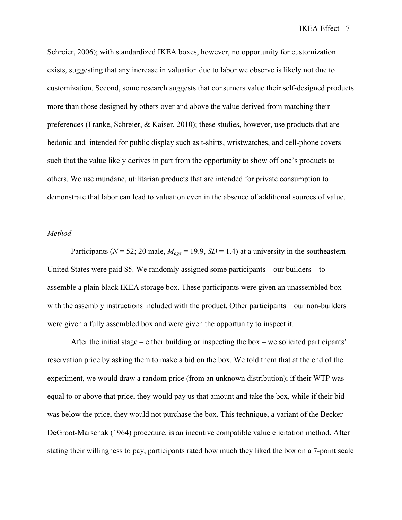IKEA Effect - 7 -

Schreier, 2006); with standardized IKEA boxes, however, no opportunity for customization exists, suggesting that any increase in valuation due to labor we observe is likely not due to customization. Second, some research suggests that consumers value their self-designed products more than those designed by others over and above the value derived from matching their preferences (Franke, Schreier, & Kaiser, 2010); these studies, however, use products that are hedonic and intended for public display such as t-shirts, wristwatches, and cell-phone covers – such that the value likely derives in part from the opportunity to show off one's products to others. We use mundane, utilitarian products that are intended for private consumption to demonstrate that labor can lead to valuation even in the absence of additional sources of value.

#### *Method*

Participants ( $N = 52$ ; 20 male,  $M_{\text{age}} = 19.9$ ,  $SD = 1.4$ ) at a university in the southeastern United States were paid \$5. We randomly assigned some participants – our builders – to assemble a plain black IKEA storage box. These participants were given an unassembled box with the assembly instructions included with the product. Other participants – our non-builders – were given a fully assembled box and were given the opportunity to inspect it.

After the initial stage – either building or inspecting the box – we solicited participants' reservation price by asking them to make a bid on the box. We told them that at the end of the experiment, we would draw a random price (from an unknown distribution); if their WTP was equal to or above that price, they would pay us that amount and take the box, while if their bid was below the price, they would not purchase the box. This technique, a variant of the Becker-DeGroot-Marschak (1964) procedure, is an incentive compatible value elicitation method. After stating their willingness to pay, participants rated how much they liked the box on a 7-point scale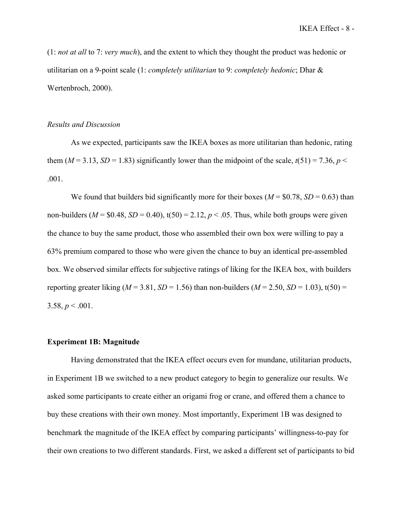(1: *not at all* to 7: *very much*), and the extent to which they thought the product was hedonic or utilitarian on a 9-point scale (1: *completely utilitarian* to 9: *completely hedonic*; Dhar & Wertenbroch, 2000).

#### *Results and Discussion*

As we expected, participants saw the IKEA boxes as more utilitarian than hedonic, rating them ( $M = 3.13$ ,  $SD = 1.83$ ) significantly lower than the midpoint of the scale,  $t(51) = 7.36$ ,  $p <$ .001.

We found that builders bid significantly more for their boxes ( $M = $0.78$ ,  $SD = 0.63$ ) than non-builders ( $M = $0.48$ ,  $SD = 0.40$ ),  $t(50) = 2.12$ ,  $p < .05$ . Thus, while both groups were given the chance to buy the same product, those who assembled their own box were willing to pay a 63% premium compared to those who were given the chance to buy an identical pre-assembled box. We observed similar effects for subjective ratings of liking for the IKEA box, with builders reporting greater liking ( $M = 3.81$ ,  $SD = 1.56$ ) than non-builders ( $M = 2.50$ ,  $SD = 1.03$ ), t(50) = 3.58,  $p < .001$ .

#### **Experiment 1B: Magnitude**

Having demonstrated that the IKEA effect occurs even for mundane, utilitarian products, in Experiment 1B we switched to a new product category to begin to generalize our results. We asked some participants to create either an origami frog or crane, and offered them a chance to buy these creations with their own money. Most importantly, Experiment 1B was designed to benchmark the magnitude of the IKEA effect by comparing participants' willingness-to-pay for their own creations to two different standards. First, we asked a different set of participants to bid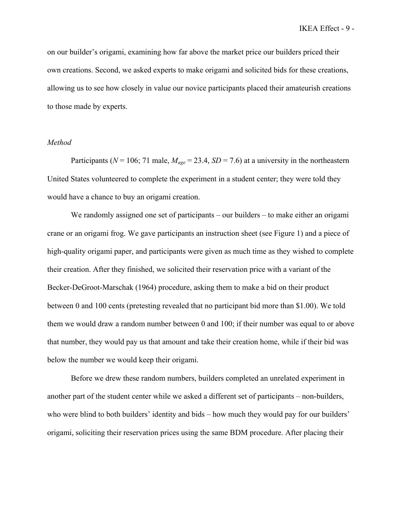on our builder's origami, examining how far above the market price our builders priced their own creations. Second, we asked experts to make origami and solicited bids for these creations, allowing us to see how closely in value our novice participants placed their amateurish creations to those made by experts.

#### *Method*

Participants ( $N = 106$ ; 71 male,  $M_{\text{age}} = 23.4$ ,  $SD = 7.6$ ) at a university in the northeastern United States volunteered to complete the experiment in a student center; they were told they would have a chance to buy an origami creation.

We randomly assigned one set of participants – our builders – to make either an origami crane or an origami frog. We gave participants an instruction sheet (see Figure 1) and a piece of high-quality origami paper, and participants were given as much time as they wished to complete their creation. After they finished, we solicited their reservation price with a variant of the Becker-DeGroot-Marschak (1964) procedure, asking them to make a bid on their product between 0 and 100 cents (pretesting revealed that no participant bid more than \$1.00). We told them we would draw a random number between 0 and 100; if their number was equal to or above that number, they would pay us that amount and take their creation home, while if their bid was below the number we would keep their origami.

Before we drew these random numbers, builders completed an unrelated experiment in another part of the student center while we asked a different set of participants – non-builders, who were blind to both builders' identity and bids – how much they would pay for our builders' origami, soliciting their reservation prices using the same BDM procedure. After placing their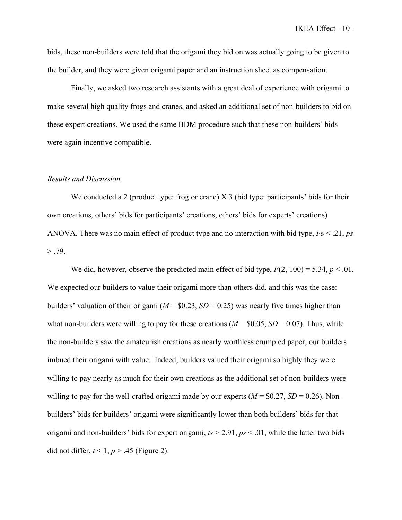IKEA Effect - 10 -

bids, these non-builders were told that the origami they bid on was actually going to be given to the builder, and they were given origami paper and an instruction sheet as compensation.

Finally, we asked two research assistants with a great deal of experience with origami to make several high quality frogs and cranes, and asked an additional set of non-builders to bid on these expert creations. We used the same BDM procedure such that these non-builders' bids were again incentive compatible.

#### *Results and Discussion*

We conducted a 2 (product type: frog or crane)  $X_3$  (bid type: participants' bids for their own creations, others' bids for participants' creations, others' bids for experts' creations) ANOVA. There was no main effect of product type and no interaction with bid type, *F*s < .21, *ps*   $> .79.$ 

We did, however, observe the predicted main effect of bid type,  $F(2, 100) = 5.34$ ,  $p < .01$ . We expected our builders to value their origami more than others did, and this was the case: builders' valuation of their origami ( $M = $0.23$ ,  $SD = 0.25$ ) was nearly five times higher than what non-builders were willing to pay for these creations  $(M = $0.05, SD = 0.07)$ . Thus, while the non-builders saw the amateurish creations as nearly worthless crumpled paper, our builders imbued their origami with value. Indeed, builders valued their origami so highly they were willing to pay nearly as much for their own creations as the additional set of non-builders were willing to pay for the well-crafted origami made by our experts  $(M = $0.27, SD = 0.26)$ . Nonbuilders' bids for builders' origami were significantly lower than both builders' bids for that origami and non-builders' bids for expert origami, *ts* > 2.91, *ps* < .01, while the latter two bids did not differ,  $t < 1$ ,  $p > .45$  (Figure 2).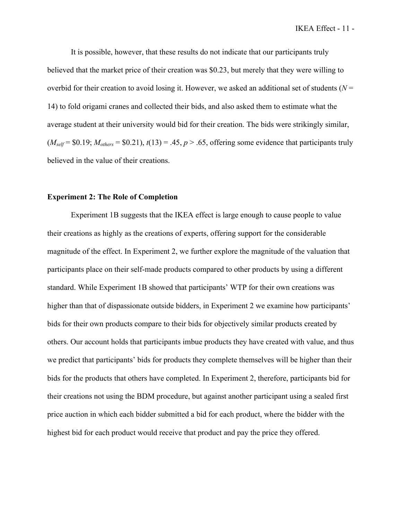IKEA Effect - 11 -

It is possible, however, that these results do not indicate that our participants truly believed that the market price of their creation was \$0.23, but merely that they were willing to overbid for their creation to avoid losing it. However, we asked an additional set of students  $(N =$ 14) to fold origami cranes and collected their bids, and also asked them to estimate what the average student at their university would bid for their creation. The bids were strikingly similar,  $(M_{self} = $0.19; M_{others} = $0.21; t(13) = .45, p > .65$ , offering some evidence that participants truly believed in the value of their creations.

#### **Experiment 2: The Role of Completion**

Experiment 1B suggests that the IKEA effect is large enough to cause people to value their creations as highly as the creations of experts, offering support for the considerable magnitude of the effect. In Experiment 2, we further explore the magnitude of the valuation that participants place on their self-made products compared to other products by using a different standard. While Experiment 1B showed that participants' WTP for their own creations was higher than that of dispassionate outside bidders, in Experiment 2 we examine how participants' bids for their own products compare to their bids for objectively similar products created by others. Our account holds that participants imbue products they have created with value, and thus we predict that participants' bids for products they complete themselves will be higher than their bids for the products that others have completed. In Experiment 2, therefore, participants bid for their creations not using the BDM procedure, but against another participant using a sealed first price auction in which each bidder submitted a bid for each product, where the bidder with the highest bid for each product would receive that product and pay the price they offered.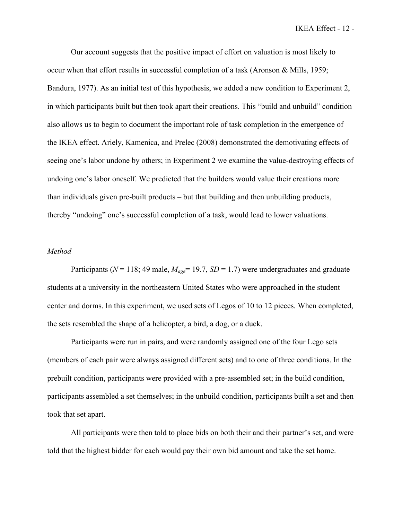Our account suggests that the positive impact of effort on valuation is most likely to occur when that effort results in successful completion of a task (Aronson & Mills, 1959; Bandura, 1977). As an initial test of this hypothesis, we added a new condition to Experiment 2, in which participants built but then took apart their creations. This "build and unbuild" condition also allows us to begin to document the important role of task completion in the emergence of the IKEA effect. Ariely, Kamenica, and Prelec (2008) demonstrated the demotivating effects of seeing one's labor undone by others; in Experiment 2 we examine the value-destroying effects of undoing one's labor oneself. We predicted that the builders would value their creations more than individuals given pre-built products – but that building and then unbuilding products, thereby "undoing" one's successful completion of a task, would lead to lower valuations.

#### *Method*

Participants ( $N = 118$ ; 49 male,  $M_{age} = 19.7$ ,  $SD = 1.7$ ) were undergraduates and graduate students at a university in the northeastern United States who were approached in the student center and dorms. In this experiment, we used sets of Legos of 10 to 12 pieces. When completed, the sets resembled the shape of a helicopter, a bird, a dog, or a duck.

Participants were run in pairs, and were randomly assigned one of the four Lego sets (members of each pair were always assigned different sets) and to one of three conditions. In the prebuilt condition, participants were provided with a pre-assembled set; in the build condition, participants assembled a set themselves; in the unbuild condition, participants built a set and then took that set apart.

All participants were then told to place bids on both their and their partner's set, and were told that the highest bidder for each would pay their own bid amount and take the set home.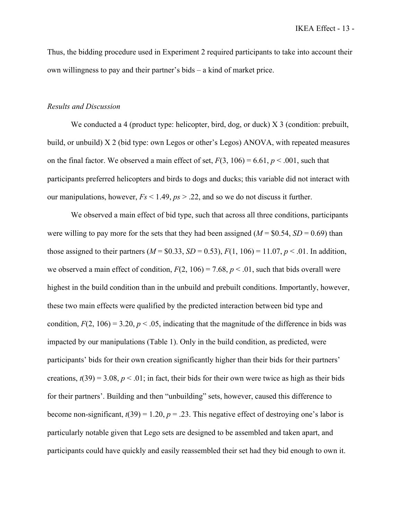Thus, the bidding procedure used in Experiment 2 required participants to take into account their own willingness to pay and their partner's bids – a kind of market price.

#### *Results and Discussion*

We conducted a 4 (product type: helicopter, bird, dog, or duck) X 3 (condition: prebuilt, build, or unbuild) X 2 (bid type: own Legos or other's Legos) ANOVA, with repeated measures on the final factor. We observed a main effect of set,  $F(3, 106) = 6.61$ ,  $p < .001$ , such that participants preferred helicopters and birds to dogs and ducks; this variable did not interact with our manipulations, however, *Fs* < 1.49, *ps* > .22, and so we do not discuss it further.

We observed a main effect of bid type, such that across all three conditions, participants were willing to pay more for the sets that they had been assigned ( $M = $0.54$ ,  $SD = 0.69$ ) than those assigned to their partners ( $M = $0.33$ ,  $SD = 0.53$ ),  $F(1, 106) = 11.07$ ,  $p < .01$ . In addition, we observed a main effect of condition,  $F(2, 106) = 7.68$ ,  $p < .01$ , such that bids overall were highest in the build condition than in the unbuild and prebuilt conditions. Importantly, however, these two main effects were qualified by the predicted interaction between bid type and condition,  $F(2, 106) = 3.20$ ,  $p < .05$ , indicating that the magnitude of the difference in bids was impacted by our manipulations (Table 1). Only in the build condition, as predicted, were participants' bids for their own creation significantly higher than their bids for their partners' creations,  $t(39) = 3.08$ ,  $p < .01$ ; in fact, their bids for their own were twice as high as their bids for their partners'. Building and then "unbuilding" sets, however, caused this difference to become non-significant,  $t(39) = 1.20$ ,  $p = .23$ . This negative effect of destroying one's labor is particularly notable given that Lego sets are designed to be assembled and taken apart, and participants could have quickly and easily reassembled their set had they bid enough to own it.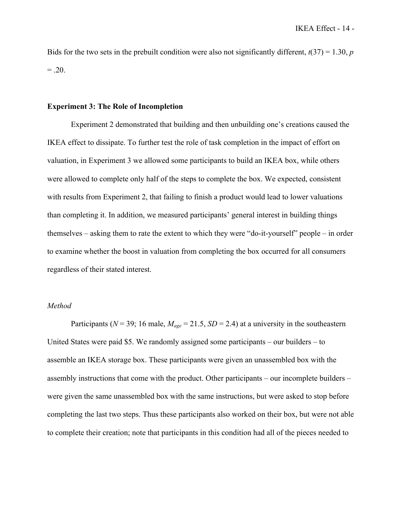Bids for the two sets in the prebuilt condition were also not significantly different,  $t(37) = 1.30$ , *p*  $= .20.$ 

#### **Experiment 3: The Role of Incompletion**

Experiment 2 demonstrated that building and then unbuilding one's creations caused the IKEA effect to dissipate. To further test the role of task completion in the impact of effort on valuation, in Experiment 3 we allowed some participants to build an IKEA box, while others were allowed to complete only half of the steps to complete the box. We expected, consistent with results from Experiment 2, that failing to finish a product would lead to lower valuations than completing it. In addition, we measured participants' general interest in building things themselves – asking them to rate the extent to which they were "do-it-yourself" people – in order to examine whether the boost in valuation from completing the box occurred for all consumers regardless of their stated interest.

#### *Method*

Participants ( $N = 39$ ; 16 male,  $M_{age} = 21.5$ ,  $SD = 2.4$ ) at a university in the southeastern United States were paid \$5. We randomly assigned some participants – our builders – to assemble an IKEA storage box. These participants were given an unassembled box with the assembly instructions that come with the product. Other participants – our incomplete builders – were given the same unassembled box with the same instructions, but were asked to stop before completing the last two steps. Thus these participants also worked on their box, but were not able to complete their creation; note that participants in this condition had all of the pieces needed to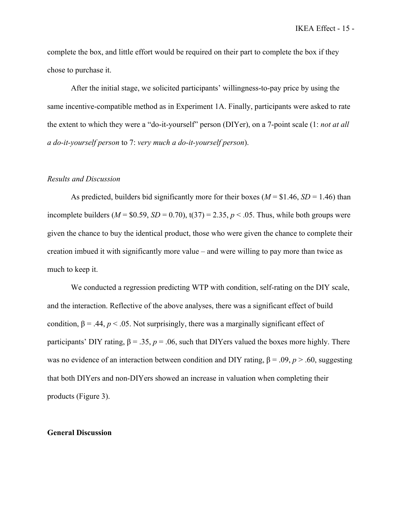complete the box, and little effort would be required on their part to complete the box if they chose to purchase it.

After the initial stage, we solicited participants' willingness-to-pay price by using the same incentive-compatible method as in Experiment 1A. Finally, participants were asked to rate the extent to which they were a "do-it-yourself" person (DIYer), on a 7-point scale (1: *not at all a do-it-yourself person* to 7: *very much a do-it-yourself person*).

#### *Results and Discussion*

As predicted, builders bid significantly more for their boxes ( $M = $1.46$ ,  $SD = 1.46$ ) than incomplete builders ( $M = $0.59$ ,  $SD = 0.70$ ),  $t(37) = 2.35$ ,  $p < .05$ . Thus, while both groups were given the chance to buy the identical product, those who were given the chance to complete their creation imbued it with significantly more value – and were willing to pay more than twice as much to keep it.

We conducted a regression predicting WTP with condition, self-rating on the DIY scale, and the interaction. Reflective of the above analyses, there was a significant effect of build condition,  $\beta = .44$ ,  $p < .05$ . Not surprisingly, there was a marginally significant effect of participants' DIY rating,  $\beta = 0.35$ ,  $p = 0.06$ , such that DIYers valued the boxes more highly. There was no evidence of an interaction between condition and DIY rating,  $\beta = .09$ ,  $p > .60$ , suggesting that both DIYers and non-DIYers showed an increase in valuation when completing their products (Figure 3).

#### **General Discussion**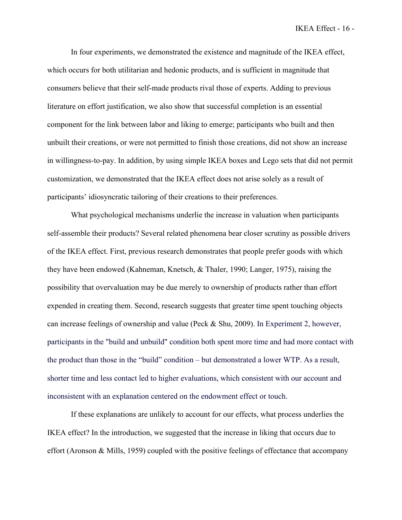IKEA Effect - 16 -

In four experiments, we demonstrated the existence and magnitude of the IKEA effect, which occurs for both utilitarian and hedonic products, and is sufficient in magnitude that consumers believe that their self-made products rival those of experts. Adding to previous literature on effort justification, we also show that successful completion is an essential component for the link between labor and liking to emerge; participants who built and then unbuilt their creations, or were not permitted to finish those creations, did not show an increase in willingness-to-pay. In addition, by using simple IKEA boxes and Lego sets that did not permit customization, we demonstrated that the IKEA effect does not arise solely as a result of participants' idiosyncratic tailoring of their creations to their preferences.

What psychological mechanisms underlie the increase in valuation when participants self-assemble their products? Several related phenomena bear closer scrutiny as possible drivers of the IKEA effect. First, previous research demonstrates that people prefer goods with which they have been endowed (Kahneman, Knetsch, & Thaler, 1990; Langer, 1975), raising the possibility that overvaluation may be due merely to ownership of products rather than effort expended in creating them. Second, research suggests that greater time spent touching objects can increase feelings of ownership and value (Peck & Shu, 2009). In Experiment 2, however, participants in the "build and unbuild" condition both spent more time and had more contact with the product than those in the "build" condition – but demonstrated a lower WTP. As a result, shorter time and less contact led to higher evaluations, which consistent with our account and inconsistent with an explanation centered on the endowment effect or touch.

If these explanations are unlikely to account for our effects, what process underlies the IKEA effect? In the introduction, we suggested that the increase in liking that occurs due to effort (Aronson & Mills, 1959) coupled with the positive feelings of effectance that accompany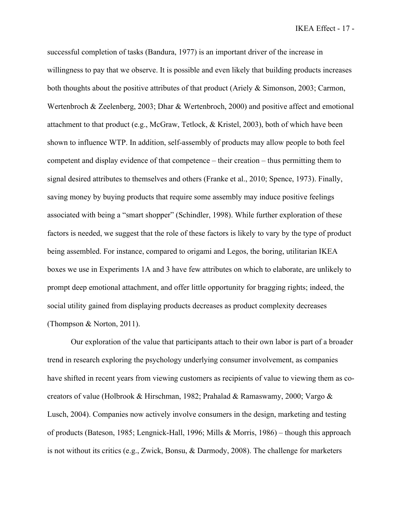IKEA Effect - 17 -

successful completion of tasks (Bandura, 1977) is an important driver of the increase in willingness to pay that we observe. It is possible and even likely that building products increases both thoughts about the positive attributes of that product (Ariely & Simonson, 2003; Carmon, Wertenbroch & Zeelenberg, 2003; Dhar & Wertenbroch, 2000) and positive affect and emotional attachment to that product (e.g., McGraw, Tetlock, & Kristel, 2003), both of which have been shown to influence WTP. In addition, self-assembly of products may allow people to both feel competent and display evidence of that competence – their creation – thus permitting them to signal desired attributes to themselves and others (Franke et al., 2010; Spence, 1973). Finally, saving money by buying products that require some assembly may induce positive feelings associated with being a "smart shopper" (Schindler, 1998). While further exploration of these factors is needed, we suggest that the role of these factors is likely to vary by the type of product being assembled. For instance, compared to origami and Legos, the boring, utilitarian IKEA boxes we use in Experiments 1A and 3 have few attributes on which to elaborate, are unlikely to prompt deep emotional attachment, and offer little opportunity for bragging rights; indeed, the social utility gained from displaying products decreases as product complexity decreases (Thompson & Norton, 2011).

Our exploration of the value that participants attach to their own labor is part of a broader trend in research exploring the psychology underlying consumer involvement, as companies have shifted in recent years from viewing customers as recipients of value to viewing them as cocreators of value (Holbrook & Hirschman, 1982; Prahalad & Ramaswamy, 2000; Vargo & Lusch, 2004). Companies now actively involve consumers in the design, marketing and testing of products (Bateson, 1985; Lengnick-Hall, 1996; Mills & Morris, 1986) – though this approach is not without its critics (e.g., Zwick, Bonsu, & Darmody, 2008). The challenge for marketers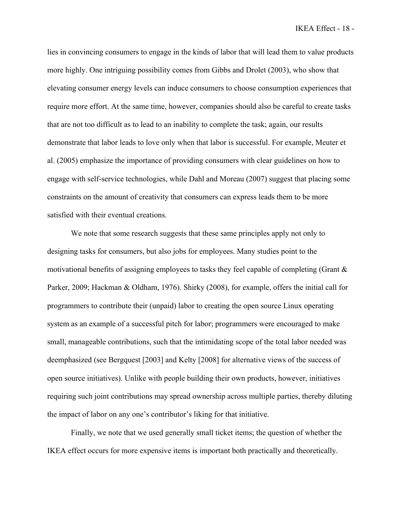IKEA Effect - 18 -

lies in convincing consumers to engage in the kinds of labor that will lead them to value products more highly. One intriguing possibility comes from Gibbs and Drolet (2003), who show that elevating consumer energy levels can induce consumers to choose consumption experiences that require more effort. At the same time, however, companies should also be careful to create tasks that are not too difficult as to lead to an inability to complete the task; again, our results demonstrate that labor leads to love only when that labor is successful. For example, Meuter et al. (2005) emphasize the importance of providing consumers with clear guidelines on how to engage with self-service technologies, while Dahl and Moreau (2007) suggest that placing some constraints on the amount of creativity that consumers can express leads them to be more satisfied with their eventual creations.

We note that some research suggests that these same principles apply not only to designing tasks for consumers, but also jobs for employees. Many studies point to the motivational benefits of assigning employees to tasks they feel capable of completing (Grant  $\&$ Parker, 2009; Hackman & Oldham, 1976). Shirky (2008), for example, offers the initial call for programmers to contribute their (unpaid) labor to creating the open source Linux operating system as an example of a successful pitch for labor; programmers were encouraged to make small, manageable contributions, such that the intimidating scope of the total labor needed was deemphasized (see Bergquest [2003] and Kelty [2008] for alternative views of the success of open source initiatives). Unlike with people building their own products, however, initiatives requiring such joint contributions may spread ownership across multiple parties, thereby diluting the impact of labor on any one's contributor's liking for that initiative.

Finally, we note that we used generally small ticket items; the question of whether the IKEA effect occurs for more expensive items is important both practically and theoretically.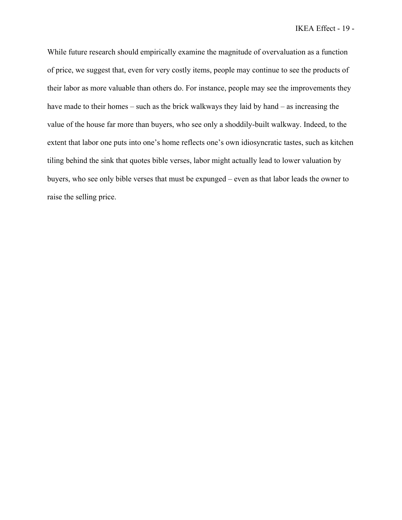IKEA Effect - 19 -

While future research should empirically examine the magnitude of overvaluation as a function of price, we suggest that, even for very costly items, people may continue to see the products of their labor as more valuable than others do. For instance, people may see the improvements they have made to their homes – such as the brick walkways they laid by hand – as increasing the value of the house far more than buyers, who see only a shoddily-built walkway. Indeed, to the extent that labor one puts into one's home reflects one's own idiosyncratic tastes, such as kitchen tiling behind the sink that quotes bible verses, labor might actually lead to lower valuation by buyers, who see only bible verses that must be expunged – even as that labor leads the owner to raise the selling price.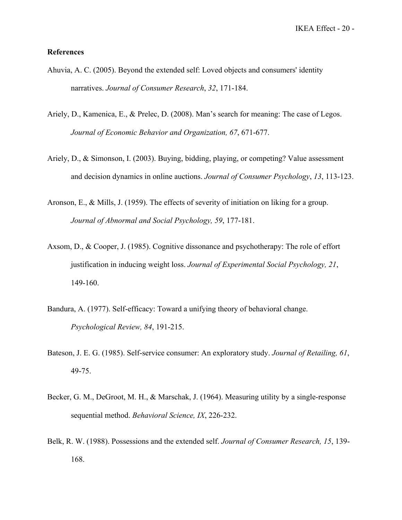### **References**

- Ahuvia, A. C. (2005). Beyond the extended self: Loved objects and consumers' identity narratives. *Journal of Consumer Research*, *32*, 171-184.
- Ariely, D., Kamenica, E., & Prelec, D. (2008). Man's search for meaning: The case of Legos. *Journal of Economic Behavior and Organization, 67*, 671-677.
- Ariely, D., & Simonson, I. (2003). Buying, bidding, playing, or competing? Value assessment and decision dynamics in online auctions. *Journal of Consumer Psychology*, *13*, 113-123.
- Aronson, E., & Mills, J. (1959). The effects of severity of initiation on liking for a group. *Journal of Abnormal and Social Psychology, 59*, 177-181.
- Axsom, D., & Cooper, J. (1985). Cognitive dissonance and psychotherapy: The role of effort justification in inducing weight loss. *Journal of Experimental Social Psychology, 21*, 149-160.
- Bandura, A. (1977). Self-efficacy: Toward a unifying theory of behavioral change. *Psychological Review, 84*, 191-215.
- Bateson, J. E. G. (1985). Self-service consumer: An exploratory study. *Journal of Retailing, 61*, 49-75.
- Becker, G. M., DeGroot, M. H., & Marschak, J. (1964). Measuring utility by a single-response sequential method. *Behavioral Science, IX*, 226-232.
- Belk, R. W. (1988). Possessions and the extended self. *Journal of Consumer Research, 15*, 139- 168.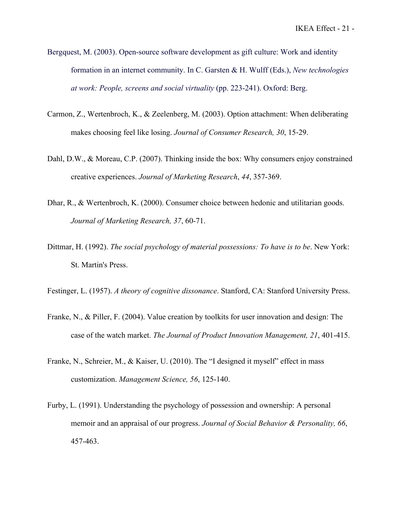- Bergquest, M. (2003). Open-source software development as gift culture: Work and identity formation in an internet community. In C. Garsten & H. Wulff (Eds.), *New technologies at work: People, screens and social virtuality* (pp. 223-241). Oxford: Berg.
- Carmon, Z., Wertenbroch, K., & Zeelenberg, M. (2003). Option attachment: When deliberating makes choosing feel like losing. *Journal of Consumer Research, 30*, 15-29.
- Dahl, D.W., & Moreau, C.P. (2007). Thinking inside the box: Why consumers enjoy constrained creative experiences. *Journal of Marketing Research*, *44*, 357-369.
- Dhar, R., & Wertenbroch, K. (2000). Consumer choice between hedonic and utilitarian goods. *Journal of Marketing Research, 37*, 60-71.
- Dittmar, H. (1992). *The social psychology of material possessions: To have is to be*. New York: St. Martin's Press.
- Festinger, L. (1957). *A theory of cognitive dissonance*. Stanford, CA: Stanford University Press.
- Franke, N., & Piller, F. (2004). Value creation by toolkits for user innovation and design: The case of the watch market. *The Journal of Product Innovation Management, 21*, 401-415.
- Franke, N., Schreier, M., & Kaiser, U. (2010). The "I designed it myself" effect in mass customization. *Management Science, 56*, 125-140.
- Furby, L. (1991). Understanding the psychology of possession and ownership: A personal memoir and an appraisal of our progress. *Journal of Social Behavior & Personality, 66*, 457-463.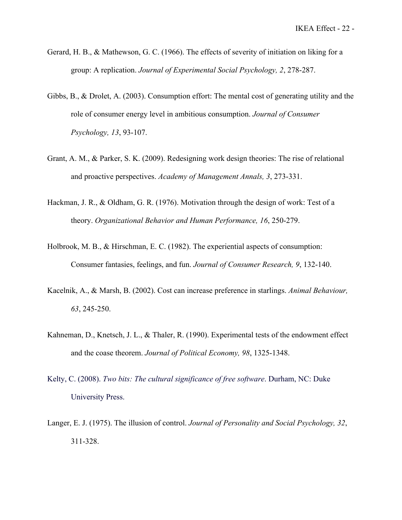- Gerard, H. B., & Mathewson, G. C. (1966). The effects of severity of initiation on liking for a group: A replication. *Journal of Experimental Social Psychology, 2*, 278-287.
- Gibbs, B., & Drolet, A. (2003). Consumption effort: The mental cost of generating utility and the role of consumer energy level in ambitious consumption. *Journal of Consumer Psychology, 13*, 93-107.
- Grant, A. M., & Parker, S. K. (2009). Redesigning work design theories: The rise of relational and proactive perspectives. *Academy of Management Annals, 3*, 273-331.
- Hackman, J. R., & Oldham, G. R. (1976). Motivation through the design of work: Test of a theory. *Organizational Behavior and Human Performance, 16*, 250-279.
- Holbrook, M. B., & Hirschman, E. C. (1982). The experiential aspects of consumption: Consumer fantasies, feelings, and fun. *Journal of Consumer Research, 9*, 132-140.
- Kacelnik, A., & Marsh, B. (2002). Cost can increase preference in starlings. *Animal Behaviour, 63*, 245-250.
- Kahneman, D., Knetsch, J. L., & Thaler, R. (1990). Experimental tests of the endowment effect and the coase theorem. *Journal of Political Economy, 98*, 1325-1348.
- Kelty, C. (2008). *Two bits: The cultural significance of free software*. Durham, NC: Duke University Press.
- Langer, E. J. (1975). The illusion of control. *Journal of Personality and Social Psychology, 32*, 311-328.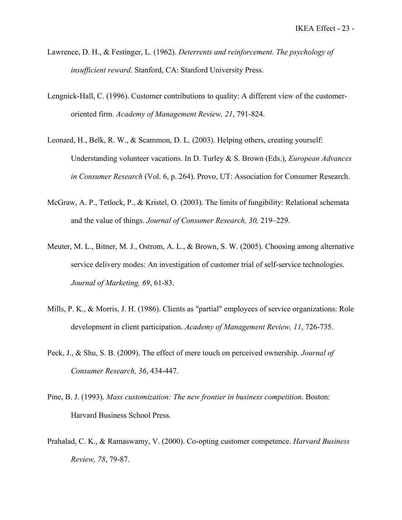- Lawrence, D. H., & Festinger, L. (1962). *Deterrents and reinforcement. The psychology of insufficient reward*. Stanford, CA: Stanford University Press.
- Lengnick-Hall, C. (1996). Customer contributions to quality: A different view of the customeroriented firm. *Academy of Management Review, 21*, 791-824.
- Leonard, H., Belk, R. W., & Scammon, D. L. (2003). Helping others, creating yourself: Understanding volunteer vacations. In D. Turley & S. Brown (Eds.), *European Advances in Consumer Research* (Vol. 6, p. 264). Provo, UT: Association for Consumer Research.
- McGraw, A. P., Tetlock, P., & Kristel, O. (2003). The limits of fungibility: Relational schemata and the value of things. *Journal of Consumer Research, 30,* 219–229.
- Meuter, M. L., Bitner, M. J., Ostrom, A. L., & Brown, S. W. (2005). Choosing among alternative service delivery modes: An investigation of customer trial of self-service technologies. *Journal of Marketing, 69*, 61-83.
- Mills, P. K., & Morris, J. H. (1986). Clients as "partial" employees of service organizations: Role development in client participation. *Academy of Management Review, 11*, 726-735.
- Peck, J., & Shu, S. B. (2009). The effect of mere touch on perceived ownership. *Journal of Consumer Research, 36*, 434-447.
- Pine, B. J. (1993). *Mass customization: The new frontier in business competition*. Boston: Harvard Business School Press.
- Prahalad, C. K., & Ramaswamy, V. (2000). Co-opting customer competence. *Harvard Business Review, 78*, 79-87.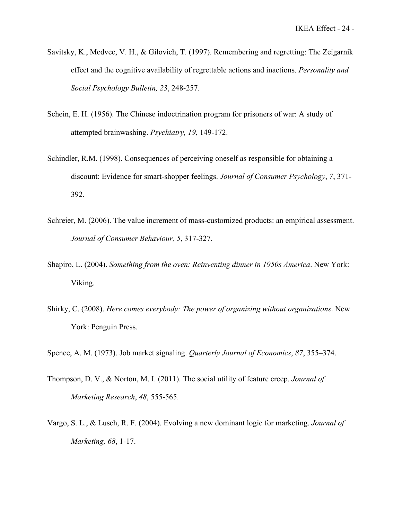- Savitsky, K., Medvec, V. H., & Gilovich, T. (1997). Remembering and regretting: The Zeigarnik effect and the cognitive availability of regrettable actions and inactions. *Personality and Social Psychology Bulletin, 23*, 248-257.
- Schein, E. H. (1956). The Chinese indoctrination program for prisoners of war: A study of attempted brainwashing. *Psychiatry, 19*, 149-172.
- Schindler, R.M. (1998). Consequences of perceiving oneself as responsible for obtaining a discount: Evidence for smart-shopper feelings. *Journal of Consumer Psychology*, *7*, 371- 392.
- Schreier, M. (2006). The value increment of mass-customized products: an empirical assessment. *Journal of Consumer Behaviour, 5*, 317-327.
- Shapiro, L. (2004). *Something from the oven: Reinventing dinner in 1950s America*. New York: Viking.
- Shirky, C. (2008). *Here comes everybody: The power of organizing without organizations*. New York: Penguin Press.
- Spence, A. M. (1973). Job market signaling. *Quarterly Journal of Economics*, *87*, 355–374.
- Thompson, D. V., & Norton, M. I. (2011). The social utility of feature creep. *Journal of Marketing Research*, *48*, 555-565.
- Vargo, S. L., & Lusch, R. F. (2004). Evolving a new dominant logic for marketing. *Journal of Marketing, 68*, 1-17.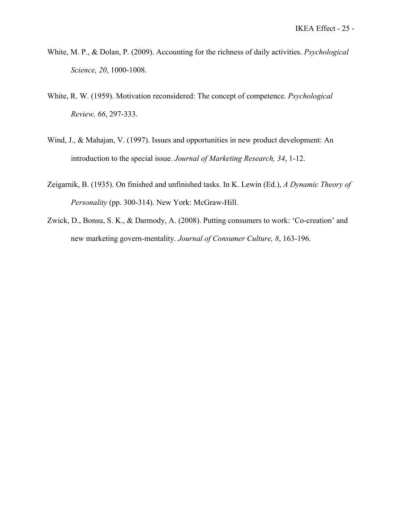- White, M. P., & Dolan, P. (2009). Accounting for the richness of daily activities. *Psychological Science, 20*, 1000-1008.
- White, R. W. (1959). Motivation reconsidered: The concept of competence. *Psychological Review, 66*, 297-333.
- Wind, J., & Mahajan, V. (1997). Issues and opportunities in new product development: An introduction to the special issue. *Journal of Marketing Research, 34*, 1-12.
- Zeigarnik, B. (1935). On finished and unfinished tasks. In K. Lewin (Ed.), *A Dynamic Theory of Personality* (pp. 300-314). New York: McGraw-Hill.
- Zwick, D., Bonsu, S. K., & Darmody, A. (2008). Putting consumers to work: 'Co-creation' and new marketing govern-mentality. *Journal of Consumer Culture, 8*, 163-196.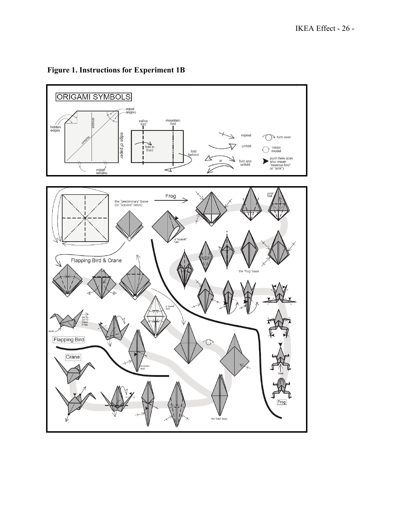

# **Figure 1. Instructions for Experiment 1B**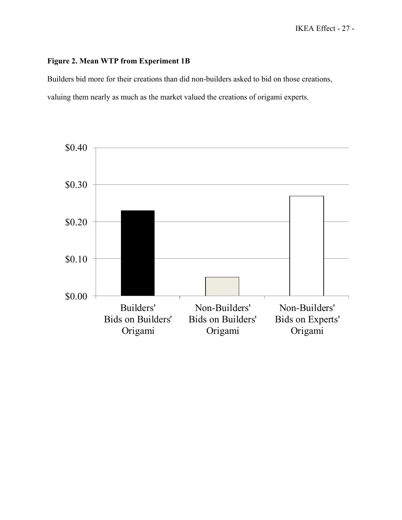### **Figure 2. Mean WTP from Experiment 1B**

Builders bid more for their creations than did non-builders asked to bid on those creations, valuing them nearly as much as the market valued the creations of origami experts.

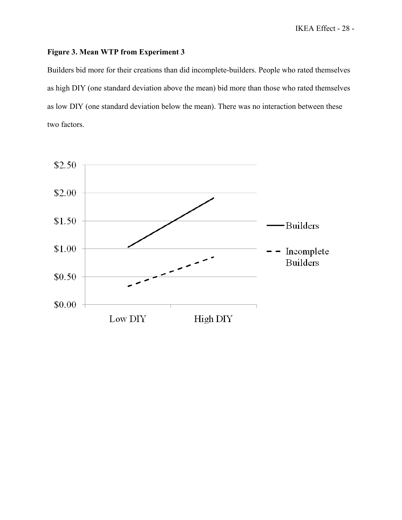## **Figure 3. Mean WTP from Experiment 3**

Builders bid more for their creations than did incomplete-builders. People who rated themselves as high DIY (one standard deviation above the mean) bid more than those who rated themselves as low DIY (one standard deviation below the mean). There was no interaction between these two factors.